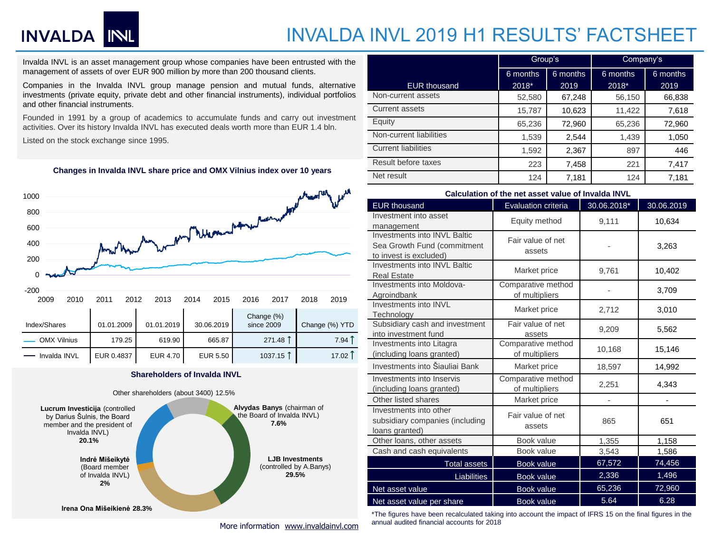# INVALDA INL

### INVALDA INVL 2019 H1 RESULTS' FACTSHEET

Invalda INVL is an asset management group whose companies have been entrusted with the management of assets of over EUR 900 million by more than 200 thousand clients.

Companies in the Invalda INVL group manage pension and mutual funds, alternative investments (private equity, private debt and other financial instruments), individual portfolios and other financial instruments.

Founded in 1991 by a group of academics to accumulate funds and carry out investment activities. Over its history Invalda INVL has executed deals worth more than EUR 1.4 bln.

Listed on the stock exchange since 1995.

#### **Changes in Invalda INVL share price and OMX Vilnius index over 10 years**



#### **Shareholders of Invalda INVL**

Invalda INVL EUR 0.4837 EUR 4.70 EUR 5.50 1037.15 .. 17.02 ..



|                            | Group's  |          | Company's |          |  |
|----------------------------|----------|----------|-----------|----------|--|
|                            | 6 months | 6 months | 6 months  | 6 months |  |
| <b>EUR</b> thousand        | 2018*    | 2019     | 2018*     | 2019     |  |
| Non-current assets         | 52,580   | 67,248   | 56,150    | 66,838   |  |
| Current assets             | 15,787   | 10,623   | 11,422    | 7,618    |  |
| Equity                     | 65,236   | 72,960   | 65,236    | 72,960   |  |
| Non-current liabilities    | 1,539    | 2,544    | 1,439     | 1,050    |  |
| <b>Current liabilities</b> | 1.592    | 2,367    | 897       | 446      |  |
| Result before taxes        | 223      | 7,458    | 221       | 7,417    |  |
| Net result                 | 124      | 7,181    | 124       | 7,181    |  |

#### **Calculation of the net asset value of Invalda INVL**

| <b>EUR thousand</b>                 | <b>Evaluation criteria</b> | 30.06.2018* | 30.06.2019 |  |
|-------------------------------------|----------------------------|-------------|------------|--|
| Investment into asset               | Equity method              | 9,111       | 10,634     |  |
| management                          |                            |             |            |  |
| Investments into INVL Baltic        | Fair value of net          |             |            |  |
| Sea Growth Fund (commitment         | assets                     |             | 3,263      |  |
| to invest is excluded)              |                            |             |            |  |
| <b>Investments into INVL Baltic</b> | Market price               | 9,761       | 10,402     |  |
| <b>Real Estate</b>                  |                            |             |            |  |
| Investments into Moldova-           | Comparative method         |             | 3,709      |  |
| Agroindbank                         | of multipliers             |             |            |  |
| Investments into INVL               | Market price               | 2,712       | 3,010      |  |
| Technology                          |                            |             |            |  |
| Subsidiary cash and investment      | Fair value of net          | 9,209       | 5,562      |  |
| into investment fund                | assets                     |             |            |  |
| Investments into Litagra            | Comparative method         | 10,168      | 15,146     |  |
| (including loans granted)           | of multipliers             |             |            |  |
| Investments into Šiauliai Bank      | Market price               | 18,597      | 14,992     |  |
| Investments into Inservis           | Comparative method         |             |            |  |
| (including loans granted)           | of multipliers             | 2,251       | 4,343      |  |
| Other listed shares                 | Market price               |             |            |  |
| Investments into other              |                            |             | 651        |  |
| subsidiary companies (including     | Fair value of net          | 865         |            |  |
| loans granted)                      | assets                     |             |            |  |
| Other loans, other assets           | Book value                 | 1,355       | 1,158      |  |
| Cash and cash equivalents           | Book value                 | 3,543       | 1,586      |  |
| <b>Total assets</b>                 | <b>Book value</b>          | 67,572      | 74,456     |  |
| Liabilities                         | Book value                 | 2,336       | 1,496      |  |
| Net asset value                     | Book value                 | 65,236      | 72,960     |  |
| Net asset value per share           | <b>Book value</b>          | 5.64        | 6.28       |  |

\*The figures have been recalculated taking into account the impact of IFRS 15 on the final figures in the annual audited financial accounts for 2018

More information [www.invaldainvl.com](http://www.invaldainvl.com/)